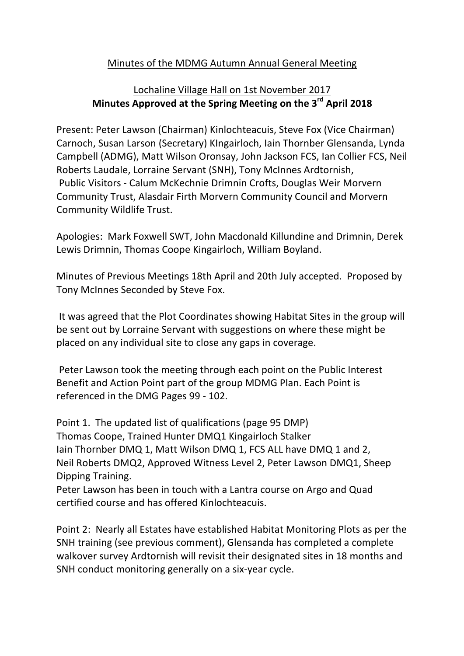## Minutes of the MDMG Autumn Annual General Meeting

## Lochaline Village Hall on 1st November 2017 **Minutes Approved at the Spring Meeting on the 3rd April 2018**

Present: Peter Lawson (Chairman) Kinlochteacuis, Steve Fox (Vice Chairman) Carnoch, Susan Larson (Secretary) Kingairloch, Iain Thornber Glensanda, Lynda Campbell (ADMG), Matt Wilson Oronsay, John Jackson FCS, Ian Collier FCS, Neil Roberts Laudale, Lorraine Servant (SNH), Tony McInnes Ardtornish, Public Visitors - Calum McKechnie Drimnin Crofts, Douglas Weir Morvern Community Trust, Alasdair Firth Morvern Community Council and Morvern Community Wildlife Trust.

Apologies: Mark Foxwell SWT, John Macdonald Killundine and Drimnin, Derek Lewis Drimnin, Thomas Coope Kingairloch, William Boyland.

Minutes of Previous Meetings 18th April and 20th July accepted. Proposed by Tony McInnes Seconded by Steve Fox.

It was agreed that the Plot Coordinates showing Habitat Sites in the group will be sent out by Lorraine Servant with suggestions on where these might be placed on any individual site to close any gaps in coverage.

Peter Lawson took the meeting through each point on the Public Interest Benefit and Action Point part of the group MDMG Plan. Each Point is referenced in the DMG Pages 99 - 102.

Point 1. The updated list of qualifications (page 95 DMP) Thomas Coope, Trained Hunter DMQ1 Kingairloch Stalker Iain Thornber DMQ 1, Matt Wilson DMQ 1, FCS ALL have DMQ 1 and 2, Neil Roberts DMQ2, Approved Witness Level 2, Peter Lawson DMQ1, Sheep Dipping Training.

Peter Lawson has been in touch with a Lantra course on Argo and Quad certified course and has offered Kinlochteacuis.

Point 2: Nearly all Estates have established Habitat Monitoring Plots as per the SNH training (see previous comment), Glensanda has completed a complete walkover survey Ardtornish will revisit their designated sites in 18 months and SNH conduct monitoring generally on a six-year cycle.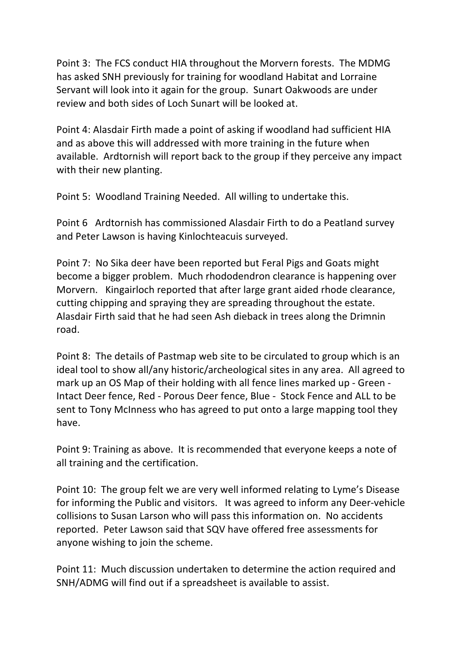Point 3: The FCS conduct HIA throughout the Morvern forests. The MDMG has asked SNH previously for training for woodland Habitat and Lorraine Servant will look into it again for the group. Sunart Oakwoods are under review and both sides of Loch Sunart will be looked at.

Point 4: Alasdair Firth made a point of asking if woodland had sufficient HIA and as above this will addressed with more training in the future when available. Ardtornish will report back to the group if they perceive any impact with their new planting.

Point 5: Woodland Training Needed. All willing to undertake this.

Point 6 Ardtornish has commissioned Alasdair Firth to do a Peatland survey and Peter Lawson is having Kinlochteacuis surveyed.

Point 7: No Sika deer have been reported but Feral Pigs and Goats might become a bigger problem. Much rhododendron clearance is happening over Morvern. Kingairloch reported that after large grant aided rhode clearance, cutting chipping and spraying they are spreading throughout the estate. Alasdair Firth said that he had seen Ash dieback in trees along the Drimnin road.

Point 8: The details of Pastmap web site to be circulated to group which is an ideal tool to show all/any historic/archeological sites in any area. All agreed to mark up an OS Map of their holding with all fence lines marked up - Green -Intact Deer fence, Red - Porous Deer fence, Blue - Stock Fence and ALL to be sent to Tony McInness who has agreed to put onto a large mapping tool they have.

Point 9: Training as above. It is recommended that everyone keeps a note of all training and the certification.

Point 10: The group felt we are very well informed relating to Lyme's Disease for informing the Public and visitors. It was agreed to inform any Deer-vehicle collisions to Susan Larson who will pass this information on. No accidents reported. Peter Lawson said that SQV have offered free assessments for anyone wishing to join the scheme.

Point 11: Much discussion undertaken to determine the action required and SNH/ADMG will find out if a spreadsheet is available to assist.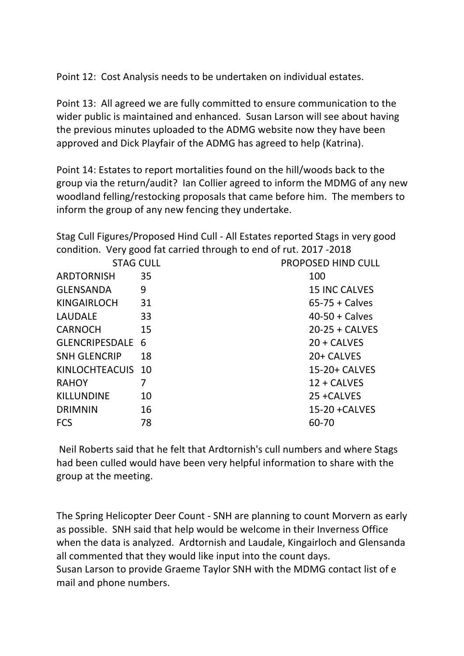Point 12: Cost Analysis needs to be undertaken on individual estates.

Point 13: All agreed we are fully committed to ensure communication to the wider public is maintained and enhanced. Susan Larson will see about having the previous minutes uploaded to the ADMG website now they have been approved and Dick Playfair of the ADMG has agreed to help (Katrina).

Point 14: Estates to report mortalities found on the hill/woods back to the group via the return/audit? Ian Collier agreed to inform the MDMG of any new woodland felling/restocking proposals that came before him. The members to inform the group of any new fencing they undertake.

Stag Cull Figures/Proposed Hind Cull - All Estates reported Stags in very good condition. Very good fat carried through to end of rut. 2017 -2018

| <b>STAG CULL</b>    |    | PROPOSED HIND CULL   |
|---------------------|----|----------------------|
| <b>ARDTORNISH</b>   | 35 | 100                  |
| <b>GLENSANDA</b>    | 9  | <b>15 INC CALVES</b> |
| <b>KINGAIRLOCH</b>  | 31 | $65-75 + Calves$     |
| <b>LAUDALE</b>      | 33 | $40-50 + Calves$     |
| <b>CARNOCH</b>      | 15 | $20-25 + CALVES$     |
| GLENCRIPESDALE 6    |    | $20 + CAIVES$        |
| <b>SNH GLENCRIP</b> | 18 | 20+ CALVES           |
| KINLOCHTEACUIS 10   |    | 15-20+ CALVES        |
| <b>RAHOY</b>        | 7  | $12 + CAIVES$        |
| <b>KILLUNDINE</b>   | 10 | 25 + CALVES          |
| <b>DRIMNIN</b>      | 16 | $15-20 + CALVES$     |
| <b>FCS</b>          | 78 | 60-70                |

Neil Roberts said that he felt that Ardtornish's cull numbers and where Stags had been culled would have been very helpful information to share with the group at the meeting.

The Spring Helicopter Deer Count - SNH are planning to count Morvern as early as possible. SNH said that help would be welcome in their Inverness Office when the data is analyzed. Ardtornish and Laudale, Kingairloch and Glensanda all commented that they would like input into the count days. Susan Larson to provide Graeme Taylor SNH with the MDMG contact list of e mail and phone numbers.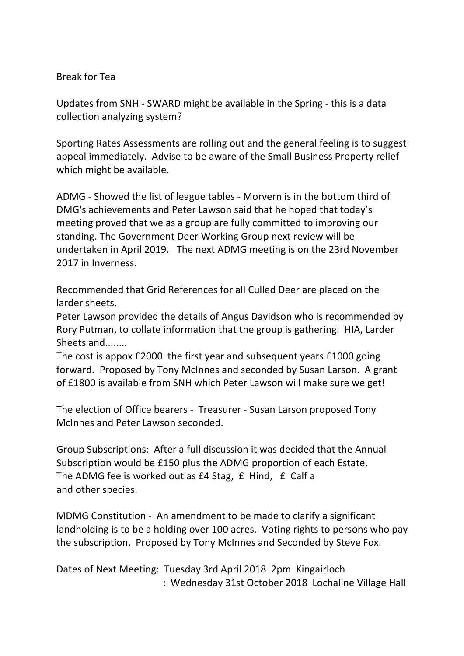## Break for Tea

Updates from SNH - SWARD might be available in the Spring - this is a data collection analyzing system?

Sporting Rates Assessments are rolling out and the general feeling is to suggest appeal immediately. Advise to be aware of the Small Business Property relief which might be available.

ADMG - Showed the list of league tables - Morvern is in the bottom third of DMG's achievements and Peter Lawson said that he hoped that today's meeting proved that we as a group are fully committed to improving our standing. The Government Deer Working Group next review will be undertaken in April 2019. The next ADMG meeting is on the 23rd November 2017 in Inverness.

Recommended that Grid References for all Culled Deer are placed on the larder sheets.

Peter Lawson provided the details of Angus Davidson who is recommended by Rory Putman, to collate information that the group is gathering. HIA, Larder Sheets and........

The cost is appox £2000 the first year and subsequent years £1000 going forward. Proposed by Tony McInnes and seconded by Susan Larson. A grant of £1800 is available from SNH which Peter Lawson will make sure we get!

The election of Office bearers - Treasurer - Susan Larson proposed Tony McInnes and Peter Lawson seconded.

Group Subscriptions: After a full discussion it was decided that the Annual Subscription would be £150 plus the ADMG proportion of each Estate. The ADMG fee is worked out as  $E4$  Stag,  $E$  Hind,  $E$  Calf a and other species.

MDMG Constitution - An amendment to be made to clarify a significant landholding is to be a holding over 100 acres. Voting rights to persons who pay the subscription. Proposed by Tony McInnes and Seconded by Steve Fox.

Dates of Next Meeting: Tuesday 3rd April 2018 2pm Kingairloch : Wednesday 31st October 2018 Lochaline Village Hall